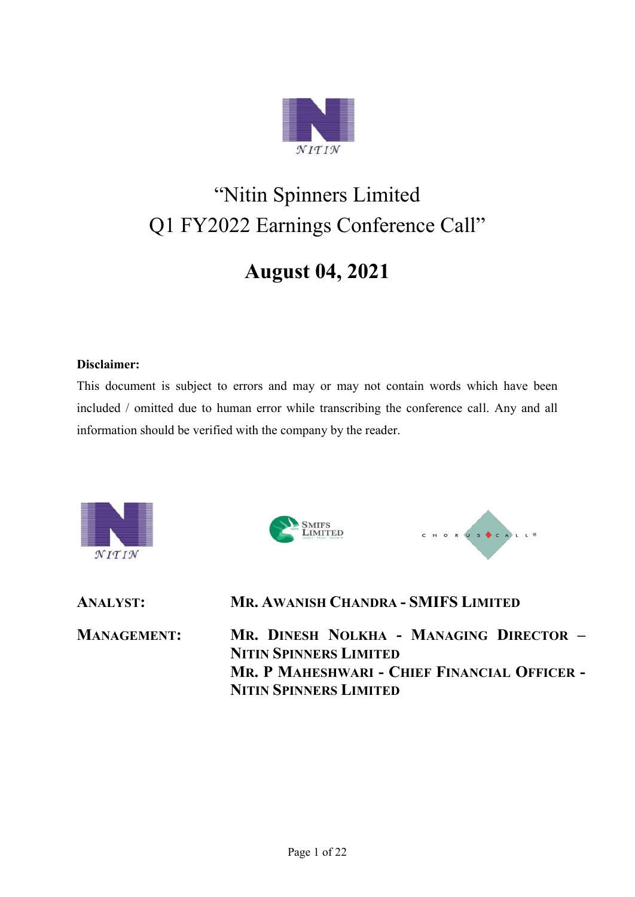

# "Nitin Spinners Limited Q1 FY2022 Earnings Conference Call"

# **August 04, 2021**

#### **Disclaimer:**

This document is subject to errors and may or may not contain words which have been included / omitted due to human error while transcribing the conference call. Any and all information should be verified with the company by the reader.





**ANALYST: MR. AWANISH CHANDRA - SMIFS LIMITED**

**MANAGEMENT: MR. DINESH NOLKHA - MANAGING DIRECTOR – NITIN SPINNERS LIMITED MR. P MAHESHWARI - CHIEF FINANCIAL OFFICER - NITIN SPINNERS LIMITED**

CHORUS CALL<sup>8</sup>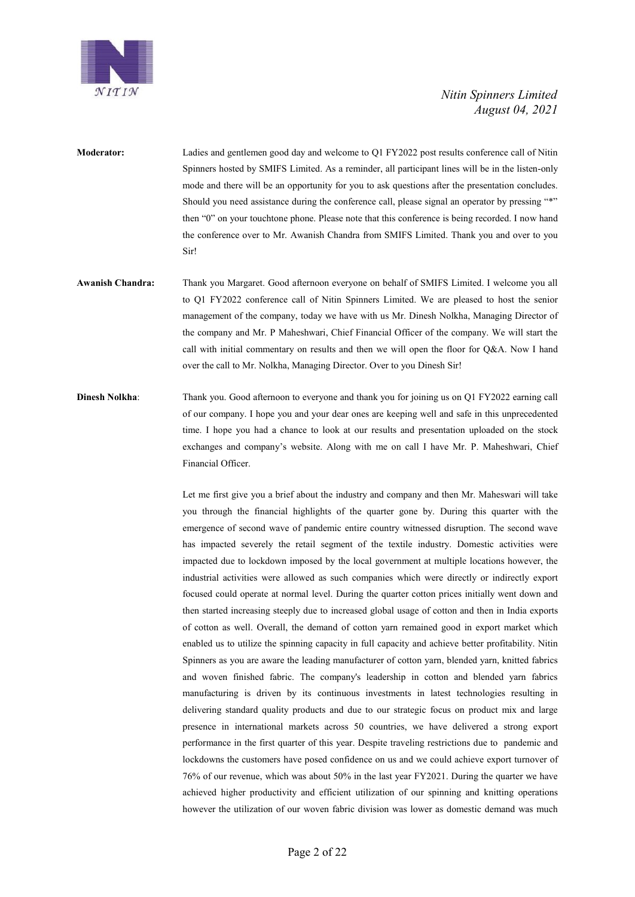

- **Moderator:** Ladies and gentlemen good day and welcome to Q1 FY2022 post results conference call of Nitin Spinners hosted by SMIFS Limited. As a reminder, all participant lines will be in the listen-only mode and there will be an opportunity for you to ask questions after the presentation concludes. Should you need assistance during the conference call, please signal an operator by pressing "\*" then "0" on your touchtone phone. Please note that this conference is being recorded. I now hand the conference over to Mr. Awanish Chandra from SMIFS Limited. Thank you and over to you Sir!
- **Awanish Chandra:** Thank you Margaret. Good afternoon everyone on behalf of SMIFS Limited. I welcome you all to Q1 FY2022 conference call of Nitin Spinners Limited. We are pleased to host the senior management of the company, today we have with us Mr. Dinesh Nolkha, Managing Director of the company and Mr. P Maheshwari, Chief Financial Officer of the company. We will start the call with initial commentary on results and then we will open the floor for Q&A. Now I hand over the call to Mr. Nolkha, Managing Director. Over to you Dinesh Sir!
- **Dinesh Nolkha:** Thank you. Good afternoon to everyone and thank you for joining us on Q1 FY2022 earning call of our company. I hope you and your dear ones are keeping well and safe in this unprecedented time. I hope you had a chance to look at our results and presentation uploaded on the stock exchanges and company's website. Along with me on call I have Mr. P. Maheshwari, Chief Financial Officer.

Let me first give you a brief about the industry and company and then Mr. Maheswari will take you through the financial highlights of the quarter gone by. During this quarter with the emergence of second wave of pandemic entire country witnessed disruption. The second wave has impacted severely the retail segment of the textile industry. Domestic activities were impacted due to lockdown imposed by the local government at multiple locations however, the industrial activities were allowed as such companies which were directly or indirectly export focused could operate at normal level. During the quarter cotton prices initially went down and then started increasing steeply due to increased global usage of cotton and then in India exports of cotton as well. Overall, the demand of cotton yarn remained good in export market which enabled us to utilize the spinning capacity in full capacity and achieve better profitability. Nitin Spinners as you are aware the leading manufacturer of cotton yarn, blended yarn, knitted fabrics and woven finished fabric. The company's leadership in cotton and blended yarn fabrics manufacturing is driven by its continuous investments in latest technologies resulting in delivering standard quality products and due to our strategic focus on product mix and large presence in international markets across 50 countries, we have delivered a strong export performance in the first quarter of this year. Despite traveling restrictions due to pandemic and lockdowns the customers have posed confidence on us and we could achieve export turnover of 76% of our revenue, which was about 50% in the last year FY2021. During the quarter we have achieved higher productivity and efficient utilization of our spinning and knitting operations however the utilization of our woven fabric division was lower as domestic demand was much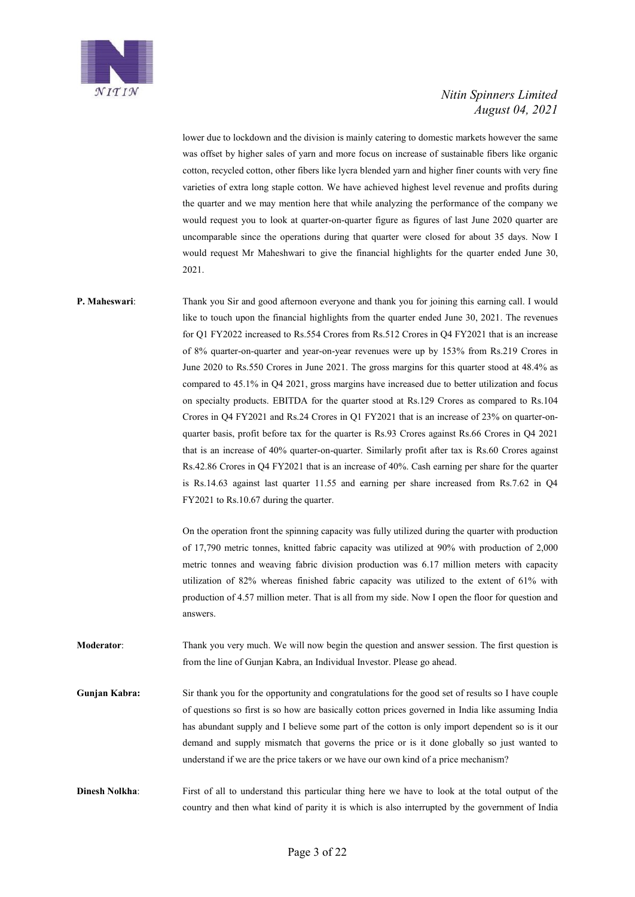

lower due to lockdown and the division is mainly catering to domestic markets however the same was offset by higher sales of yarn and more focus on increase of sustainable fibers like organic cotton, recycled cotton, other fibers like lycra blended yarn and higher finer counts with very fine varieties of extra long staple cotton. We have achieved highest level revenue and profits during the quarter and we may mention here that while analyzing the performance of the company we would request you to look at quarter-on-quarter figure as figures of last June 2020 quarter are uncomparable since the operations during that quarter were closed for about 35 days. Now I would request Mr Maheshwari to give the financial highlights for the quarter ended June 30, 2021.

**P. Maheswari:** Thank you Sir and good afternoon everyone and thank you for joining this earning call. I would like to touch upon the financial highlights from the quarter ended June 30, 2021. The revenues for Q1 FY2022 increased to Rs.554 Crores from Rs.512 Crores in Q4 FY2021 that is an increase of 8% quarter-on-quarter and year-on-year revenues were up by 153% from Rs.219 Crores in June 2020 to Rs.550 Crores in June 2021. The gross margins for this quarter stood at 48.4% as compared to 45.1% in Q4 2021, gross margins have increased due to better utilization and focus on specialty products. EBITDA for the quarter stood at Rs.129 Crores as compared to Rs.104 Crores in Q4 FY2021 and Rs.24 Crores in Q1 FY2021 that is an increase of 23% on quarter-onquarter basis, profit before tax for the quarter is Rs.93 Crores against Rs.66 Crores in Q4 2021 that is an increase of 40% quarter-on-quarter. Similarly profit after tax is Rs.60 Crores against Rs.42.86 Crores in Q4 FY2021 that is an increase of 40%. Cash earning per share for the quarter is Rs.14.63 against last quarter 11.55 and earning per share increased from Rs.7.62 in Q4 FY2021 to Rs.10.67 during the quarter.

> On the operation front the spinning capacity was fully utilized during the quarter with production of 17,790 metric tonnes, knitted fabric capacity was utilized at 90% with production of 2,000 metric tonnes and weaving fabric division production was 6.17 million meters with capacity utilization of 82% whereas finished fabric capacity was utilized to the extent of 61% with production of 4.57 million meter. That is all from my side. Now I open the floor for question and answers.

**Moderator**: Thank you very much. We will now begin the question and answer session. The first question is from the line of Gunjan Kabra, an Individual Investor. Please go ahead.

**Gunjan Kabra:** Sir thank you for the opportunity and congratulations for the good set of results so I have couple of questions so first is so how are basically cotton prices governed in India like assuming India has abundant supply and I believe some part of the cotton is only import dependent so is it our demand and supply mismatch that governs the price or is it done globally so just wanted to understand if we are the price takers or we have our own kind of a price mechanism?

**Dinesh Nolkha**: First of all to understand this particular thing here we have to look at the total output of the country and then what kind of parity it is which is also interrupted by the government of India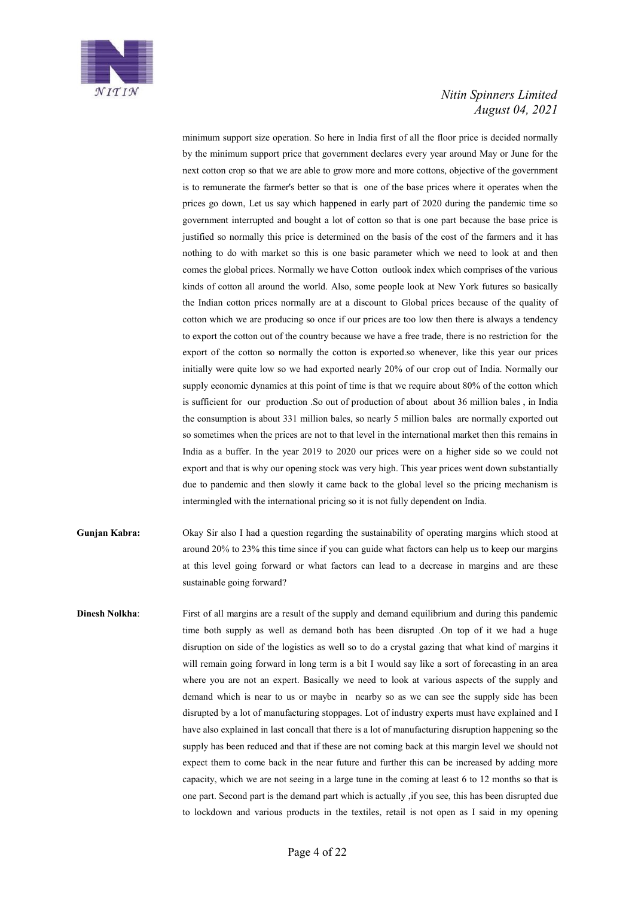

minimum support size operation. So here in India first of all the floor price is decided normally by the minimum support price that government declares every year around May or June for the next cotton crop so that we are able to grow more and more cottons, objective of the government is to remunerate the farmer's better so that is one of the base prices where it operates when the prices go down, Let us say which happened in early part of 2020 during the pandemic time so government interrupted and bought a lot of cotton so that is one part because the base price is justified so normally this price is determined on the basis of the cost of the farmers and it has nothing to do with market so this is one basic parameter which we need to look at and then comes the global prices. Normally we have Cotton outlook index which comprises of the various kinds of cotton all around the world. Also, some people look at New York futures so basically the Indian cotton prices normally are at a discount to Global prices because of the quality of cotton which we are producing so once if our prices are too low then there is always a tendency to export the cotton out of the country because we have a free trade, there is no restriction for the export of the cotton so normally the cotton is exported.so whenever, like this year our prices initially were quite low so we had exported nearly 20% of our crop out of India. Normally our supply economic dynamics at this point of time is that we require about 80% of the cotton which is sufficient for our production .So out of production of about about 36 million bales , in India the consumption is about 331 million bales, so nearly 5 million bales are normally exported out so sometimes when the prices are not to that level in the international market then this remains in India as a buffer. In the year 2019 to 2020 our prices were on a higher side so we could not export and that is why our opening stock was very high. This year prices went down substantially due to pandemic and then slowly it came back to the global level so the pricing mechanism is intermingled with the international pricing so it is not fully dependent on India.

- **Gunjan Kabra:** Okay Sir also I had a question regarding the sustainability of operating margins which stood at around 20% to 23% this time since if you can guide what factors can help us to keep our margins at this level going forward or what factors can lead to a decrease in margins and are these sustainable going forward?
- **Dinesh Nolkha**: First of all margins are a result of the supply and demand equilibrium and during this pandemic time both supply as well as demand both has been disrupted .On top of it we had a huge disruption on side of the logistics as well so to do a crystal gazing that what kind of margins it will remain going forward in long term is a bit I would say like a sort of forecasting in an area where you are not an expert. Basically we need to look at various aspects of the supply and demand which is near to us or maybe in nearby so as we can see the supply side has been disrupted by a lot of manufacturing stoppages. Lot of industry experts must have explained and I have also explained in last concall that there is a lot of manufacturing disruption happening so the supply has been reduced and that if these are not coming back at this margin level we should not expect them to come back in the near future and further this can be increased by adding more capacity, which we are not seeing in a large tune in the coming at least 6 to 12 months so that is one part. Second part is the demand part which is actually ,if you see, this has been disrupted due to lockdown and various products in the textiles, retail is not open as I said in my opening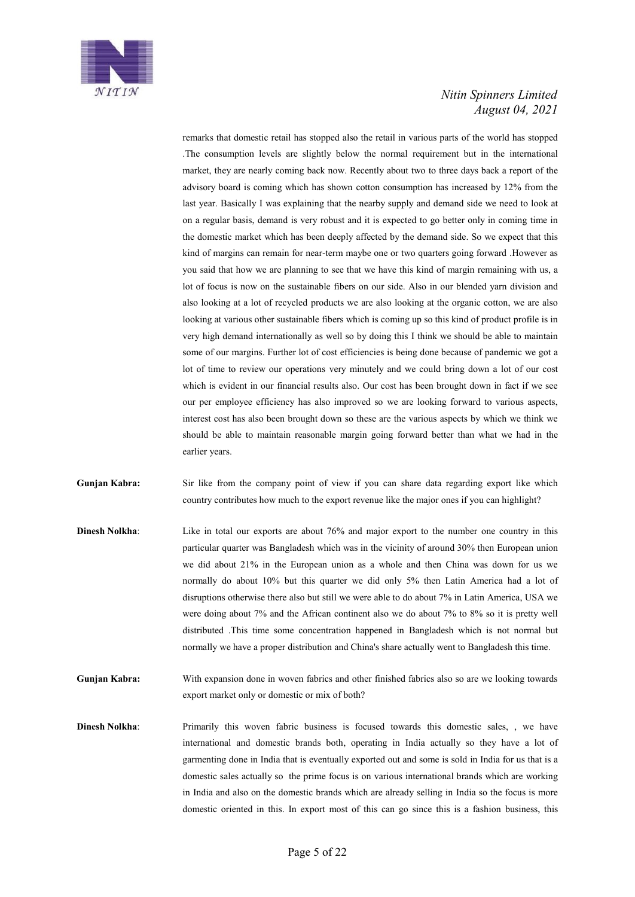

remarks that domestic retail has stopped also the retail in various parts of the world has stopped .The consumption levels are slightly below the normal requirement but in the international market, they are nearly coming back now. Recently about two to three days back a report of the advisory board is coming which has shown cotton consumption has increased by 12% from the last year. Basically I was explaining that the nearby supply and demand side we need to look at on a regular basis, demand is very robust and it is expected to go better only in coming time in the domestic market which has been deeply affected by the demand side. So we expect that this kind of margins can remain for near-term maybe one or two quarters going forward .However as you said that how we are planning to see that we have this kind of margin remaining with us, a lot of focus is now on the sustainable fibers on our side. Also in our blended yarn division and also looking at a lot of recycled products we are also looking at the organic cotton, we are also looking at various other sustainable fibers which is coming up so this kind of product profile is in very high demand internationally as well so by doing this I think we should be able to maintain some of our margins. Further lot of cost efficiencies is being done because of pandemic we got a lot of time to review our operations very minutely and we could bring down a lot of our cost which is evident in our financial results also. Our cost has been brought down in fact if we see our per employee efficiency has also improved so we are looking forward to various aspects, interest cost has also been brought down so these are the various aspects by which we think we should be able to maintain reasonable margin going forward better than what we had in the earlier years.

Gunjan Kabra: Sir like from the company point of view if you can share data regarding export like which country contributes how much to the export revenue like the major ones if you can highlight?

- **Dinesh Nolkha**: Like in total our exports are about 76% and major export to the number one country in this particular quarter was Bangladesh which was in the vicinity of around 30% then European union we did about 21% in the European union as a whole and then China was down for us we normally do about 10% but this quarter we did only 5% then Latin America had a lot of disruptions otherwise there also but still we were able to do about 7% in Latin America, USA we were doing about 7% and the African continent also we do about 7% to 8% so it is pretty well distributed .This time some concentration happened in Bangladesh which is not normal but normally we have a proper distribution and China's share actually went to Bangladesh this time.
- **Gunjan Kabra:** With expansion done in woven fabrics and other finished fabrics also so are we looking towards export market only or domestic or mix of both?
- **Dinesh Nolkha:** Primarily this woven fabric business is focused towards this domestic sales, , we have international and domestic brands both, operating in India actually so they have a lot of garmenting done in India that is eventually exported out and some is sold in India for us that is a domestic sales actually so the prime focus is on various international brands which are working in India and also on the domestic brands which are already selling in India so the focus is more domestic oriented in this. In export most of this can go since this is a fashion business, this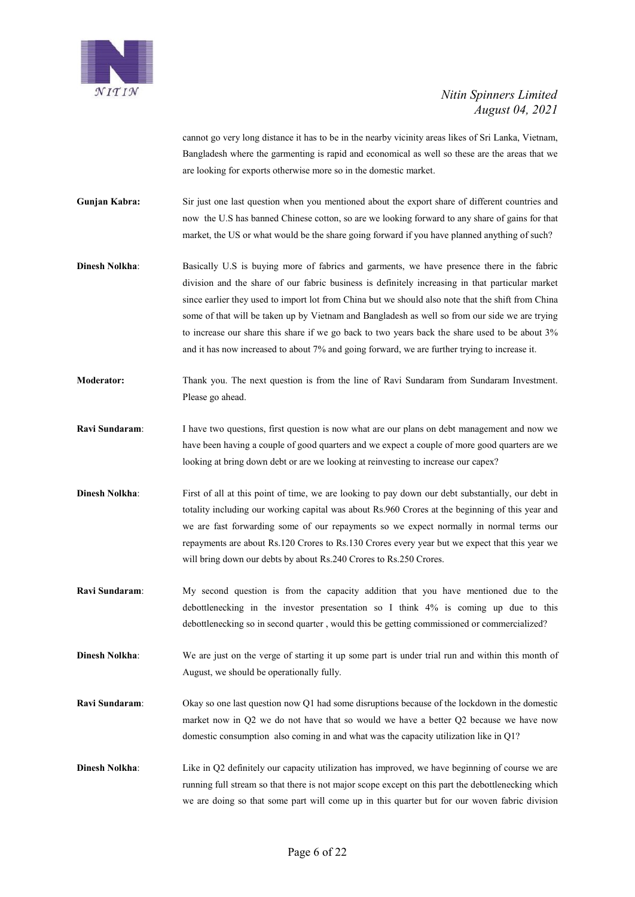

cannot go very long distance it has to be in the nearby vicinity areas likes of Sri Lanka, Vietnam, Bangladesh where the garmenting is rapid and economical as well so these are the areas that we are looking for exports otherwise more so in the domestic market.

**Gunjan Kabra:** Sir just one last question when you mentioned about the export share of different countries and now the U.S has banned Chinese cotton, so are we looking forward to any share of gains for that market, the US or what would be the share going forward if you have planned anything of such?

- **Dinesh Nolkha:** Basically U.S is buying more of fabrics and garments, we have presence there in the fabric division and the share of our fabric business is definitely increasing in that particular market since earlier they used to import lot from China but we should also note that the shift from China some of that will be taken up by Vietnam and Bangladesh as well so from our side we are trying to increase our share this share if we go back to two years back the share used to be about 3% and it has now increased to about 7% and going forward, we are further trying to increase it.
- **Moderator:** Thank you. The next question is from the line of Ravi Sundaram from Sundaram Investment. Please go ahead.
- **Ravi Sundaram:** I have two questions, first question is now what are our plans on debt management and now we have been having a couple of good quarters and we expect a couple of more good quarters are we looking at bring down debt or are we looking at reinvesting to increase our capex?
- **Dinesh Nolkha**: First of all at this point of time, we are looking to pay down our debt substantially, our debt in totality including our working capital was about Rs.960 Crores at the beginning of this year and we are fast forwarding some of our repayments so we expect normally in normal terms our repayments are about Rs.120 Crores to Rs.130 Crores every year but we expect that this year we will bring down our debts by about Rs.240 Crores to Rs.250 Crores.
- **Ravi Sundaram**: My second question is from the capacity addition that you have mentioned due to the debottlenecking in the investor presentation so I think 4% is coming up due to this debottlenecking so in second quarter , would this be getting commissioned or commercialized?
- **Dinesh Nolkha**: We are just on the verge of starting it up some part is under trial run and within this month of August, we should be operationally fully.
- **Ravi Sundaram**: Okay so one last question now Q1 had some disruptions because of the lockdown in the domestic market now in Q2 we do not have that so would we have a better Q2 because we have now domestic consumption also coming in and what was the capacity utilization like in Q1?
- **Dinesh Nolkha:** Like in Q2 definitely our capacity utilization has improved, we have beginning of course we are running full stream so that there is not major scope except on this part the debottlenecking which we are doing so that some part will come up in this quarter but for our woven fabric division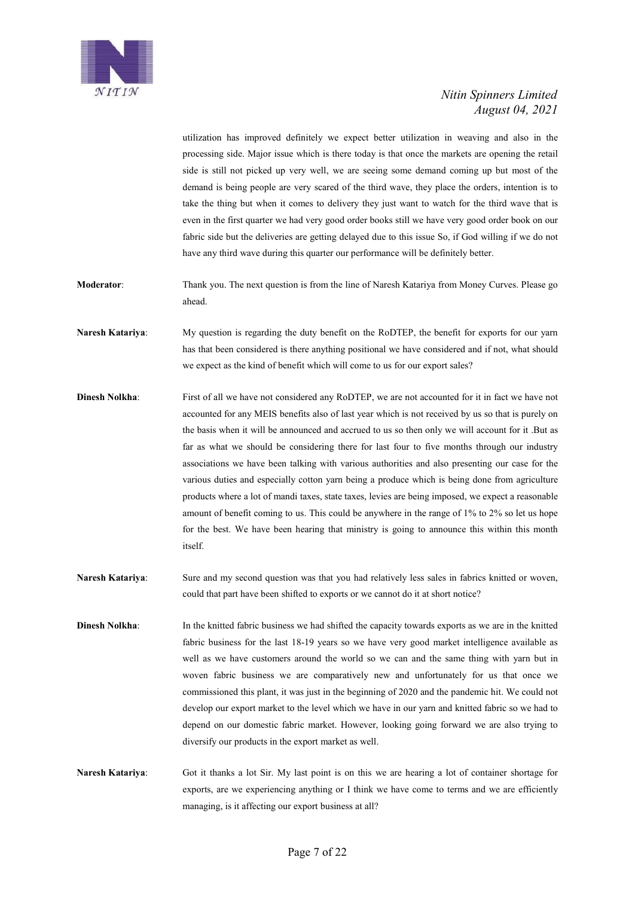

utilization has improved definitely we expect better utilization in weaving and also in the processing side. Major issue which is there today is that once the markets are opening the retail side is still not picked up very well, we are seeing some demand coming up but most of the demand is being people are very scared of the third wave, they place the orders, intention is to take the thing but when it comes to delivery they just want to watch for the third wave that is even in the first quarter we had very good order books still we have very good order book on our fabric side but the deliveries are getting delayed due to this issue So, if God willing if we do not have any third wave during this quarter our performance will be definitely better.

- **Moderator**: Thank you. The next question is from the line of Naresh Katariya from Money Curves. Please go ahead.
- **Naresh Katariya**: My question is regarding the duty benefit on the RoDTEP, the benefit for exports for our yarn has that been considered is there anything positional we have considered and if not, what should we expect as the kind of benefit which will come to us for our export sales?
- **Dinesh Nolkha:** First of all we have not considered any RoDTEP, we are not accounted for it in fact we have not accounted for any MEIS benefits also of last year which is not received by us so that is purely on the basis when it will be announced and accrued to us so then only we will account for it .But as far as what we should be considering there for last four to five months through our industry associations we have been talking with various authorities and also presenting our case for the various duties and especially cotton yarn being a produce which is being done from agriculture products where a lot of mandi taxes, state taxes, levies are being imposed, we expect a reasonable amount of benefit coming to us. This could be anywhere in the range of 1% to 2% so let us hope for the best. We have been hearing that ministry is going to announce this within this month itself.
- **Naresh Katariya**: Sure and my second question was that you had relatively less sales in fabrics knitted or woven, could that part have been shifted to exports or we cannot do it at short notice?
- **Dinesh Nolkha:** In the knitted fabric business we had shifted the capacity towards exports as we are in the knitted fabric business for the last 18-19 years so we have very good market intelligence available as well as we have customers around the world so we can and the same thing with yarn but in woven fabric business we are comparatively new and unfortunately for us that once we commissioned this plant, it was just in the beginning of 2020 and the pandemic hit. We could not develop our export market to the level which we have in our yarn and knitted fabric so we had to depend on our domestic fabric market. However, looking going forward we are also trying to diversify our products in the export market as well.
- **Naresh Katariya**: Got it thanks a lot Sir. My last point is on this we are hearing a lot of container shortage for exports, are we experiencing anything or I think we have come to terms and we are efficiently managing, is it affecting our export business at all?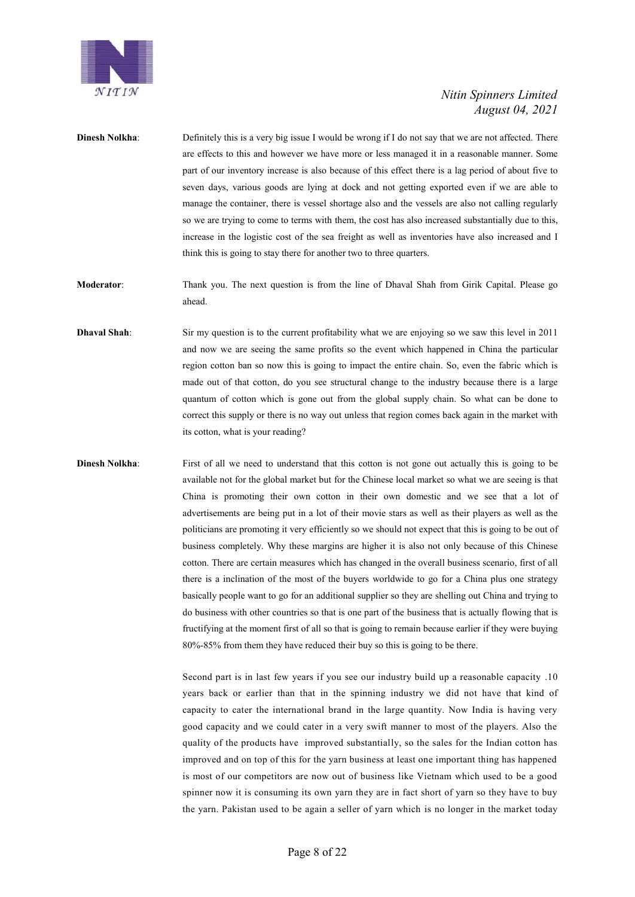

- **Dinesh Nolkha:** Definitely this is a very big issue I would be wrong if I do not say that we are not affected. There are effects to this and however we have more or less managed it in a reasonable manner. Some part of our inventory increase is also because of this effect there is a lag period of about five to seven days, various goods are lying at dock and not getting exported even if we are able to manage the container, there is vessel shortage also and the vessels are also not calling regularly so we are trying to come to terms with them, the cost has also increased substantially due to this, increase in the logistic cost of the sea freight as well as inventories have also increased and I think this is going to stay there for another two to three quarters.
- **Moderator**: Thank you. The next question is from the line of Dhaval Shah from Girik Capital. Please go ahead.
- **Dhaval Shah**: Sir my question is to the current profitability what we are enjoying so we saw this level in 2011 and now we are seeing the same profits so the event which happened in China the particular region cotton ban so now this is going to impact the entire chain. So, even the fabric which is made out of that cotton, do you see structural change to the industry because there is a large quantum of cotton which is gone out from the global supply chain. So what can be done to correct this supply or there is no way out unless that region comes back again in the market with its cotton, what is your reading?
- 

**Dinesh Nolkha:** First of all we need to understand that this cotton is not gone out actually this is going to be available not for the global market but for the Chinese local market so what we are seeing is that China is promoting their own cotton in their own domestic and we see that a lot of advertisements are being put in a lot of their movie stars as well as their players as well as the politicians are promoting it very efficiently so we should not expect that this is going to be out of business completely. Why these margins are higher it is also not only because of this Chinese cotton. There are certain measures which has changed in the overall business scenario, first of all there is a inclination of the most of the buyers worldwide to go for a China plus one strategy basically people want to go for an additional supplier so they are shelling out China and trying to do business with other countries so that is one part of the business that is actually flowing that is fructifying at the moment first of all so that is going to remain because earlier if they were buying 80%-85% from them they have reduced their buy so this is going to be there.

> Second part is in last few years if you see our industry build up a reasonable capacity .10 years back or earlier than that in the spinning industry we did not have that kind of capacity to cater the international brand in the large quantity. Now India is having very good capacity and we could cater in a very swift manner to most of the players. Also the quality of the products have improved substantially, so the sales for the Indian cotton has improved and on top of this for the yarn business at least one important thing has happened is most of our competitors are now out of business like Vietnam which used to be a good spinner now it is consuming its own yarn they are in fact short of yarn so they have to buy the yarn. Pakistan used to be again a seller of yarn which is no longer in the market today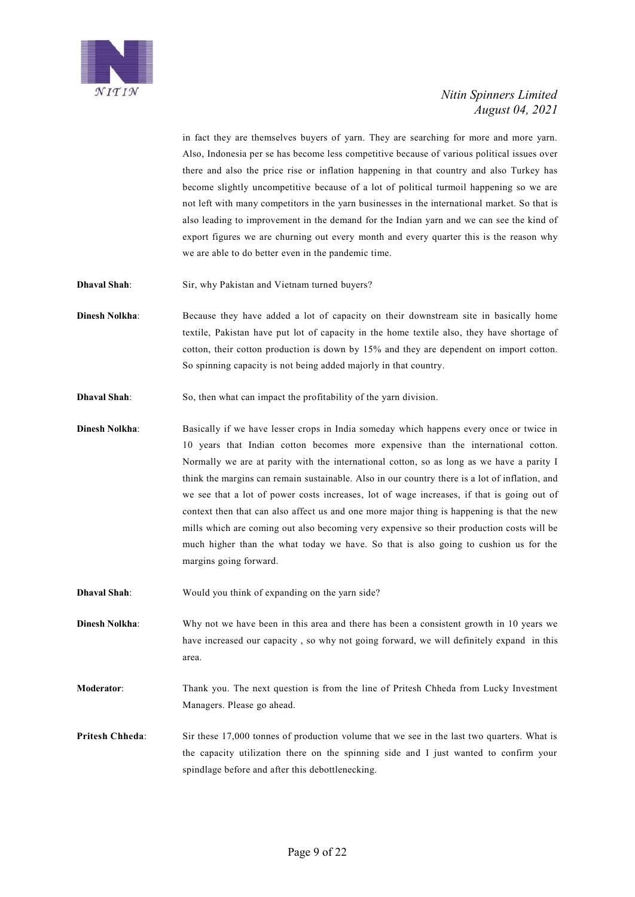

in fact they are themselves buyers of yarn. They are searching for more and more yarn. Also, Indonesia per se has become less competitive because of various political issues over there and also the price rise or inflation happening in that country and also Turkey has become slightly uncompetitive because of a lot of political turmoil happening so we are not left with many competitors in the yarn businesses in the international market. So that is also leading to improvement in the demand for the Indian yarn and we can see the kind of export figures we are churning out every month and every quarter this is the reason why we are able to do better even in the pandemic time.

**Dhaval Shah**: Sir, why Pakistan and Vietnam turned buyers?

- **Dinesh Nolkha:** Because they have added a lot of capacity on their downstream site in basically home textile, Pakistan have put lot of capacity in the home textile also, they have shortage of cotton, their cotton production is down by 15% and they are dependent on import cotton. So spinning capacity is not being added majorly in that country.
- **Dhaval Shah**: So, then what can impact the profitability of the yarn division.
- **Dinesh Nolkha:** Basically if we have lesser crops in India someday which happens every once or twice in 10 years that Indian cotton becomes more expensive than the international cotton. Normally we are at parity with the international cotton, so as long as we have a parity I think the margins can remain sustainable. Also in our country there is a lot of inflation, and we see that a lot of power costs increases, lot of wage increases, if that is going out of context then that can also affect us and one more major thing is happening is that the new mills which are coming out also becoming very expensive so their production costs will be much higher than the what today we have. So that is also going to cushion us for the margins going forward.
- **Dhaval Shah**: Would you think of expanding on the yarn side?

**Dinesh Nolkha:** Why not we have been in this area and there has been a consistent growth in 10 years we have increased our capacity , so why not going forward, we will definitely expand in this area.

**Moderator**: Thank you. The next question is from the line of Pritesh Chheda from Lucky Investment Managers. Please go ahead.

**Pritesh Chheda:** Sir these 17,000 tonnes of production volume that we see in the last two quarters. What is the capacity utilization there on the spinning side and I just wanted to confirm your spindlage before and after this debottlenecking.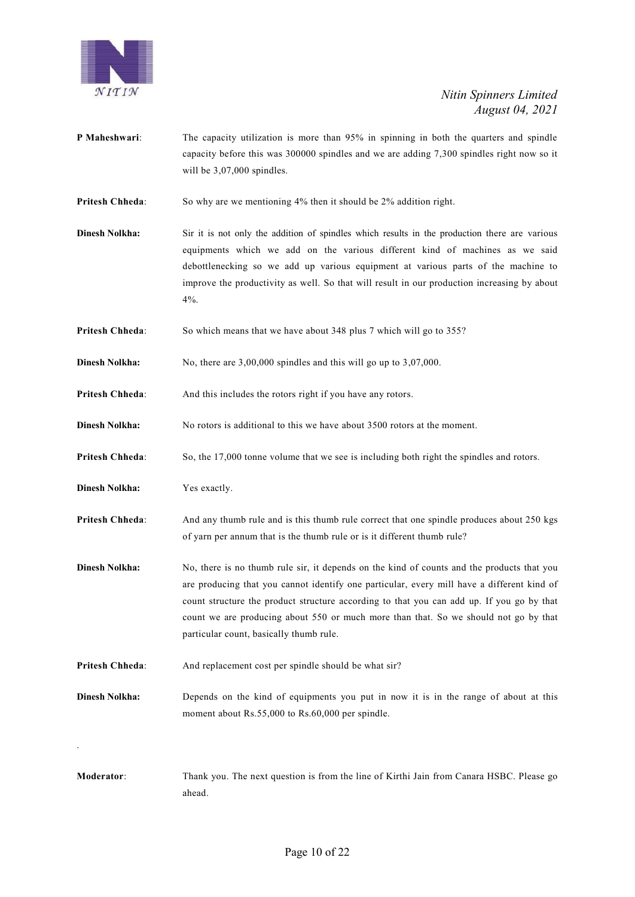

- **P Maheshwari:** The capacity utilization is more than 95% in spinning in both the quarters and spindle capacity before this was 300000 spindles and we are adding 7,300 spindles right now so it will be  $3,07,000$  spindles.
- **Pritesh Chheda**: So why are we mentioning 4% then it should be 2% addition right.
- **Dinesh Nolkha:** Sir it is not only the addition of spindles which results in the production there are various equipments which we add on the various different kind of machines as we said debottlenecking so we add up various equipment at various parts of the machine to improve the productivity as well. So that will result in our production increasing by about  $4\%$ .
- **Pritesh Chheda:** So which means that we have about 348 plus 7 which will go to 355?
- **Dinesh Nolkha:** No, there are 3,00,000 spindles and this will go up to 3,07,000.
- **Pritesh Chheda:** And this includes the rotors right if you have any rotors.
- **Dinesh Nolkha:** No rotors is additional to this we have about 3500 rotors at the moment.
- **Pritesh Chheda:** So, the 17,000 tonne volume that we see is including both right the spindles and rotors.
- **Dinesh Nolkha:** Yes exactly.

.

- **Pritesh Chheda**: And any thumb rule and is this thumb rule correct that one spindle produces about 250 kgs of yarn per annum that is the thumb rule or is it different thumb rule?
- **Dinesh Nolkha:** No, there is no thumb rule sir, it depends on the kind of counts and the products that you are producing that you cannot identify one particular, every mill have a different kind of count structure the product structure according to that you can add up. If you go by that count we are producing about 550 or much more than that. So we should not go by that particular count, basically thumb rule.
- **Pritesh Chheda:** And replacement cost per spindle should be what sir?
- **Dinesh Nolkha:** Depends on the kind of equipments you put in now it is in the range of about at this moment about Rs.55,000 to Rs.60,000 per spindle.
- **Moderator**: Thank you. The next question is from the line of Kirthi Jain from Canara HSBC. Please go ahead.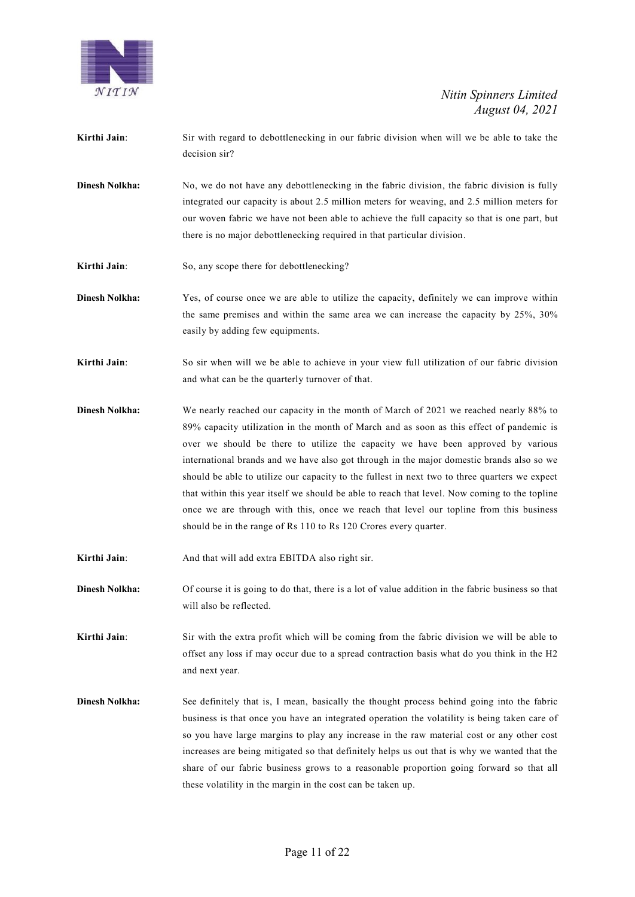

- **Kirthi Jain:** Sir with regard to debottlenecking in our fabric division when will we be able to take the decision sir?
- **Dinesh Nolkha:** No, we do not have any debottlenecking in the fabric division, the fabric division is fully integrated our capacity is about 2.5 million meters for weaving, and 2.5 million meters for our woven fabric we have not been able to achieve the full capacity so that is one part, but there is no major debottlenecking required in that particular division.
- **Kirthi Jain**: So, any scope there for debottlenecking?
- **Dinesh Nolkha:** Yes, of course once we are able to utilize the capacity, definitely we can improve within the same premises and within the same area we can increase the capacity by 25%, 30% easily by adding few equipments.
- **Kirthi Jain**: So sir when will we be able to achieve in your view full utilization of our fabric division and what can be the quarterly turnover of that.
- **Dinesh Nolkha:** We nearly reached our capacity in the month of March of 2021 we reached nearly 88% to 89% capacity utilization in the month of March and as soon as this effect of pandemic is over we should be there to utilize the capacity we have been approved by various international brands and we have also got through in the major domestic brands also so we should be able to utilize our capacity to the fullest in next two to three quarters we expect that within this year itself we should be able to reach that level. Now coming to the topline once we are through with this, once we reach that level our topline from this business should be in the range of Rs 110 to Rs 120 Crores every quarter.
- **Kirthi Jain**: And that will add extra EBITDA also right sir.
- **Dinesh Nolkha:** Of course it is going to do that, there is a lot of value addition in the fabric business so that will also be reflected.

**Kirthi Jain:** Sir with the extra profit which will be coming from the fabric division we will be able to offset any loss if may occur due to a spread contraction basis what do you think in the H2 and next year.

**Dinesh Nolkha:** See definitely that is, I mean, basically the thought process behind going into the fabric business is that once you have an integrated operation the volatility is being taken care of so you have large margins to play any increase in the raw material cost or any other cost increases are being mitigated so that definitely helps us out that is why we wanted that the share of our fabric business grows to a reasonable proportion going forward so that all these volatility in the margin in the cost can be taken up.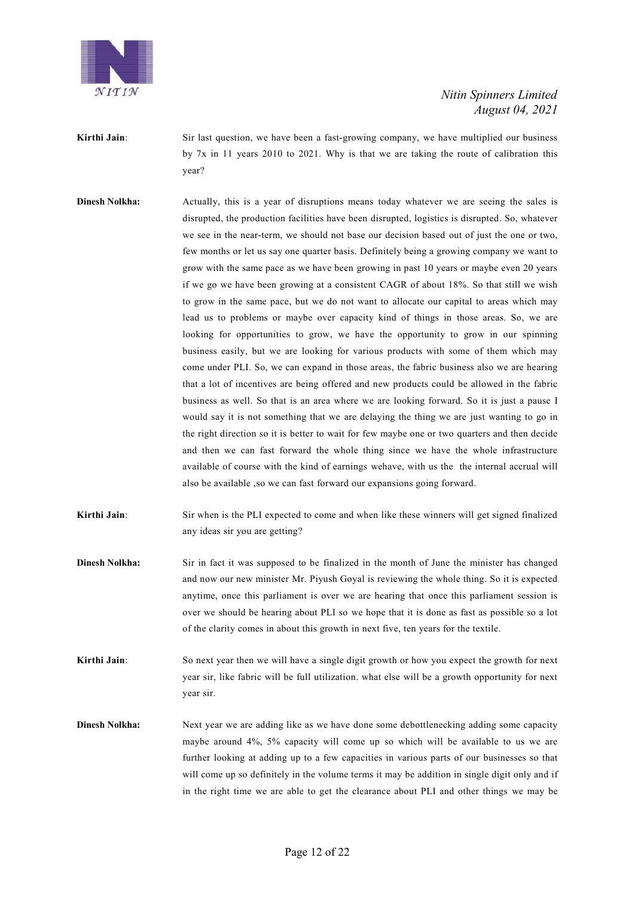

**Kirthi Jain:** Sir last question, we have been a fast-growing company, we have multiplied our business by 7x in 11 years 2010 to 2021. Why is that we are taking the route of calibration this year?

- **Dinesh Nolkha:** Actually, this is a year of disruptions means today whatever we are seeing the sales is disrupted, the production facilities have been disrupted, logistics is disrupted. So, whatever we see in the near-term, we should not base our decision based out of just the one or two, few months or let us say one quarter basis. Definitely being a growing company we want to grow with the same pace as we have been growing in past 10 years or maybe even 20 years if we go we have been growing at a consistent CAGR of about 18%. So that still we wish to grow in the same pace, but we do not want to allocate our capital to areas which may lead us to problems or maybe over capacity kind of things in those areas. So, we are looking for opportunities to grow, we have the opportunity to grow in our spinning business easily, but we are looking for various products with some of them which may come under PLI. So, we can expand in those areas, the fabric business also we are hearing that a lot of incentives are being offered and new products could be allowed in the fabric business as well. So that is an area where we are looking forward. So it is just a pause I would say it is not something that we are delaying the thing we are just wanting to go in the right direction so it is better to wait for few maybe one or two quarters and then decide and then we can fast forward the whole thing since we have the whole infrastructure available of course with the kind of earnings wehave, with us the the internal accrual will also be available ,so we can fast forward our expansions going forward.
- **Kirthi Jain:** Sir when is the PLI expected to come and when like these winners will get signed finalized any ideas sir you are getting?
- **Dinesh Nolkha:** Sir in fact it was supposed to be finalized in the month of June the minister has changed and now our new minister Mr. Piyush Goyal is reviewing the whole thing. So it is expected anytime, once this parliament is over we are hearing that once this parliament session is over we should be hearing about PLI so we hope that it is done as fast as possible so a lot of the clarity comes in about this growth in next five, ten years for the textile.
- **Kirthi Jain:** So next year then we will have a single digit growth or how you expect the growth for next year sir, like fabric will be full utilization. what else will be a growth opportunity for next year sir.
- **Dinesh Nolkha:** Next year we are adding like as we have done some debottlenecking adding some capacity maybe around 4%, 5% capacity will come up so which will be available to us we are further looking at adding up to a few capacities in various parts of our businesses so that will come up so definitely in the volume terms it may be addition in single digit only and if in the right time we are able to get the clearance about PLI and other things we may be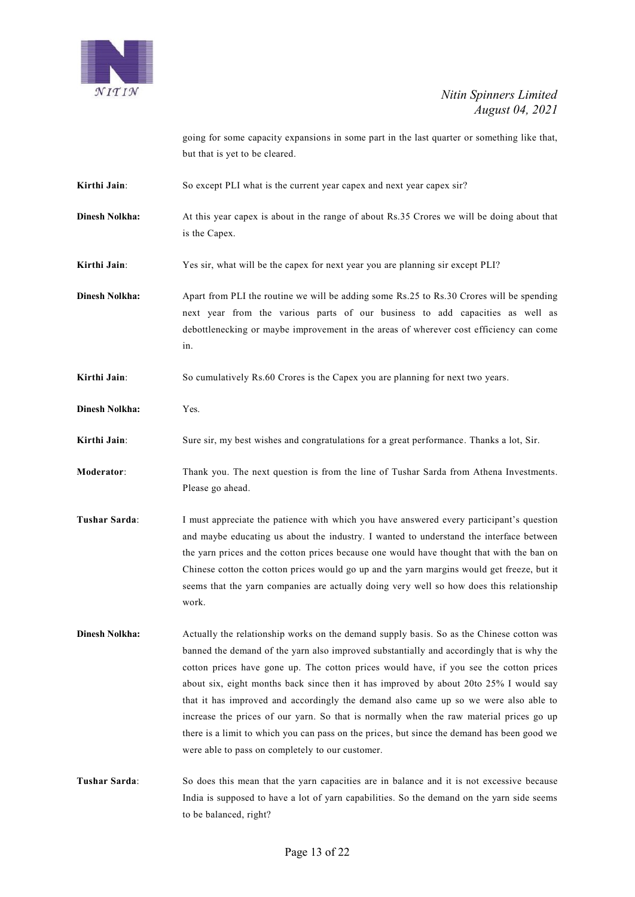

going for some capacity expansions in some part in the last quarter or something like that, but that is yet to be cleared.

**Kirthi Jain**: So except PLI what is the current year capex and next year capex sir?

**Dinesh Nolkha:** At this year capex is about in the range of about Rs.35 Crores we will be doing about that is the Capex.

**Kirthi Jain**: Yes sir, what will be the capex for next year you are planning sir except PLI?

- **Dinesh Nolkha:** Apart from PLI the routine we will be adding some Rs.25 to Rs.30 Crores will be spending next year from the various parts of our business to add capacities as well as debottlenecking or maybe improvement in the areas of wherever cost efficiency can come in.
- **Kirthi Jain:** So cumulatively Rs.60 Crores is the Capex you are planning for next two years.
- **Dinesh Nolkha:** Yes.
- **Kirthi Jain**: Sure sir, my best wishes and congratulations for a great performance. Thanks a lot, Sir.
- **Moderator**: Thank you. The next question is from the line of Tushar Sarda from Athena Investments. Please go ahead.
- **Tushar Sarda:** I must appreciate the patience with which you have answered every participant's question and maybe educating us about the industry. I wanted to understand the interface between the yarn prices and the cotton prices because one would have thought that with the ban on Chinese cotton the cotton prices would go up and the yarn margins would get freeze, but it seems that the yarn companies are actually doing very well so how does this relationship work.
- **Dinesh Nolkha:** Actually the relationship works on the demand supply basis. So as the Chinese cotton was banned the demand of the yarn also improved substantially and accordingly that is why the cotton prices have gone up. The cotton prices would have, if you see the cotton prices about six, eight months back since then it has improved by about 20to 25% I would say that it has improved and accordingly the demand also came up so we were also able to increase the prices of our yarn. So that is normally when the raw material prices go up there is a limit to which you can pass on the prices, but since the demand has been good we were able to pass on completely to our customer.
- **Tushar Sarda**: So does this mean that the yarn capacities are in balance and it is not excessive because India is supposed to have a lot of yarn capabilities. So the demand on the yarn side seems to be balanced, right?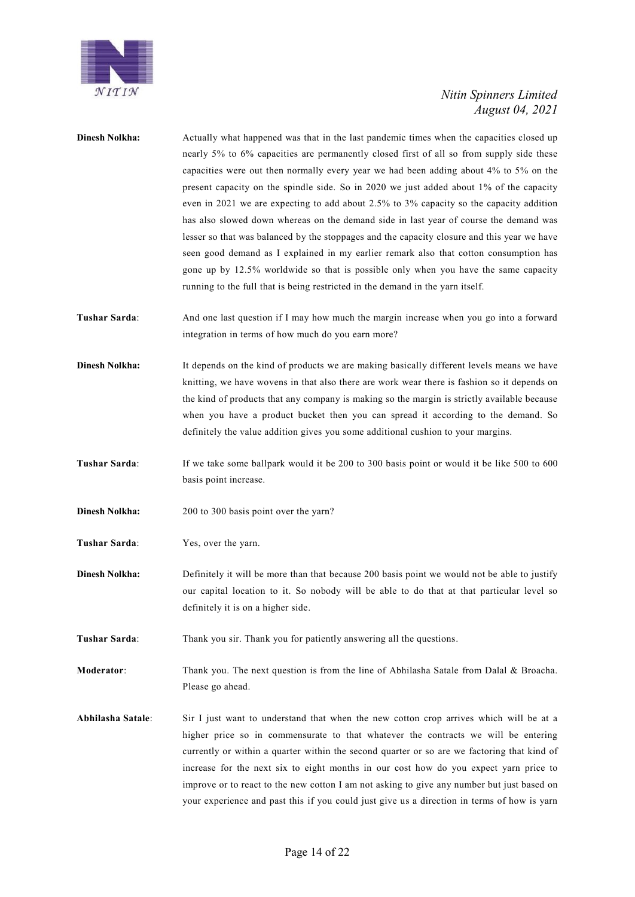

| <b>Dinesh Nolkha:</b> | Actually what happened was that in the last pandemic times when the capacities closed up<br>nearly 5% to 6% capacities are permanently closed first of all so from supply side these<br>capacities were out then normally every year we had been adding about 4% to 5% on the<br>present capacity on the spindle side. So in 2020 we just added about 1% of the capacity<br>even in 2021 we are expecting to add about 2.5% to 3% capacity so the capacity addition<br>has also slowed down whereas on the demand side in last year of course the demand was<br>lesser so that was balanced by the stoppages and the capacity closure and this year we have<br>seen good demand as I explained in my earlier remark also that cotton consumption has<br>gone up by 12.5% worldwide so that is possible only when you have the same capacity<br>running to the full that is being restricted in the demand in the yarn itself. |
|-----------------------|-------------------------------------------------------------------------------------------------------------------------------------------------------------------------------------------------------------------------------------------------------------------------------------------------------------------------------------------------------------------------------------------------------------------------------------------------------------------------------------------------------------------------------------------------------------------------------------------------------------------------------------------------------------------------------------------------------------------------------------------------------------------------------------------------------------------------------------------------------------------------------------------------------------------------------|
| Tushar Sarda:         | And one last question if I may how much the margin increase when you go into a forward<br>integration in terms of how much do you earn more?                                                                                                                                                                                                                                                                                                                                                                                                                                                                                                                                                                                                                                                                                                                                                                                  |
| <b>Dinesh Nolkha:</b> | It depends on the kind of products we are making basically different levels means we have<br>knitting, we have wovens in that also there are work wear there is fashion so it depends on<br>the kind of products that any company is making so the margin is strictly available because<br>when you have a product bucket then you can spread it according to the demand. So<br>definitely the value addition gives you some additional cushion to your margins.                                                                                                                                                                                                                                                                                                                                                                                                                                                              |
| Tushar Sarda:         | If we take some ballpark would it be 200 to 300 basis point or would it be like 500 to 600<br>basis point increase.                                                                                                                                                                                                                                                                                                                                                                                                                                                                                                                                                                                                                                                                                                                                                                                                           |
| <b>Dinesh Nolkha:</b> | 200 to 300 basis point over the yarn?                                                                                                                                                                                                                                                                                                                                                                                                                                                                                                                                                                                                                                                                                                                                                                                                                                                                                         |
| Tushar Sarda:         | Yes, over the yarn.                                                                                                                                                                                                                                                                                                                                                                                                                                                                                                                                                                                                                                                                                                                                                                                                                                                                                                           |
| <b>Dinesh Nolkha:</b> | Definitely it will be more than that because 200 basis point we would not be able to justify<br>our capital location to it. So nobody will be able to do that at that particular level so<br>definitely it is on a higher side.                                                                                                                                                                                                                                                                                                                                                                                                                                                                                                                                                                                                                                                                                               |
| Tushar Sarda:         | Thank you sir. Thank you for patiently answering all the questions.                                                                                                                                                                                                                                                                                                                                                                                                                                                                                                                                                                                                                                                                                                                                                                                                                                                           |
| Moderator:            | Thank you. The next question is from the line of Abhilasha Satale from Dalal & Broacha.<br>Please go ahead.                                                                                                                                                                                                                                                                                                                                                                                                                                                                                                                                                                                                                                                                                                                                                                                                                   |
| Abhilasha Satale:     | Sir I just want to understand that when the new cotton crop arrives which will be at a<br>higher price so in commensurate to that whatever the contracts we will be entering<br>currently or within a quarter within the second quarter or so are we factoring that kind of<br>increase for the next six to eight months in our cost how do you expect yarn price to<br>improve or to react to the new cotton I am not asking to give any number but just based on<br>your experience and past this if you could just give us a direction in terms of how is yarn                                                                                                                                                                                                                                                                                                                                                             |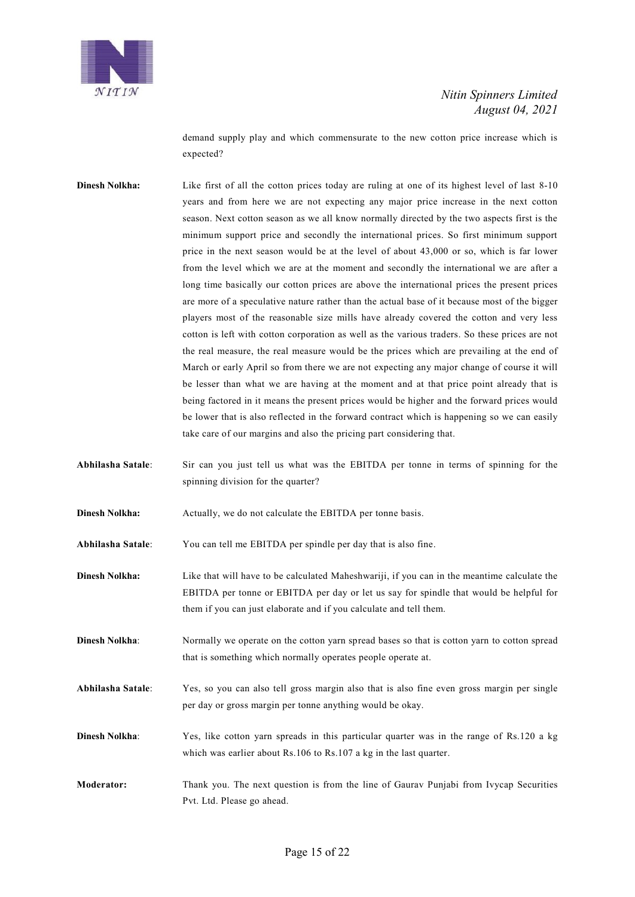

demand supply play and which commensurate to the new cotton price increase which is expected?

- **Dinesh Nolkha:** Like first of all the cotton prices today are ruling at one of its highest level of last 8-10 years and from here we are not expecting any major price increase in the next cotton season. Next cotton season as we all know normally directed by the two aspects first is the minimum support price and secondly the international prices. So first minimum support price in the next season would be at the level of about 43,000 or so, which is far lower from the level which we are at the moment and secondly the international we are after a long time basically our cotton prices are above the international prices the present prices are more of a speculative nature rather than the actual base of it because most of the bigger players most of the reasonable size mills have already covered the cotton and very less cotton is left with cotton corporation as well as the various traders. So these prices are not the real measure, the real measure would be the prices which are prevailing at the end of March or early April so from there we are not expecting any major change of course it will be lesser than what we are having at the moment and at that price point already that is being factored in it means the present prices would be higher and the forward prices would be lower that is also reflected in the forward contract which is happening so we can easily take care of our margins and also the pricing part considering that.
- **Abhilasha Satale**: Sir can you just tell us what was the EBITDA per tonne in terms of spinning for the spinning division for the quarter?
- **Dinesh Nolkha:** Actually, we do not calculate the EBITDA per tonne basis.

**Abhilasha Satale**: You can tell me EBITDA per spindle per day that is also fine.

- **Dinesh Nolkha:** Like that will have to be calculated Maheshwariji, if you can in the meantime calculate the EBITDA per tonne or EBITDA per day or let us say for spindle that would be helpful for them if you can just elaborate and if you calculate and tell them.
- **Dinesh Nolkha:** Normally we operate on the cotton yarn spread bases so that is cotton yarn to cotton spread that is something which normally operates people operate at.
- **Abhilasha Satale**: Yes, so you can also tell gross margin also that is also fine even gross margin per single per day or gross margin per tonne anything would be okay.
- **Dinesh Nolkha:** Yes, like cotton yarn spreads in this particular quarter was in the range of Rs.120 a kg which was earlier about Rs.106 to Rs.107 a kg in the last quarter.
- **Moderator:** Thank you. The next question is from the line of Gaurav Punjabi from Ivycap Securities Pvt. Ltd. Please go ahead.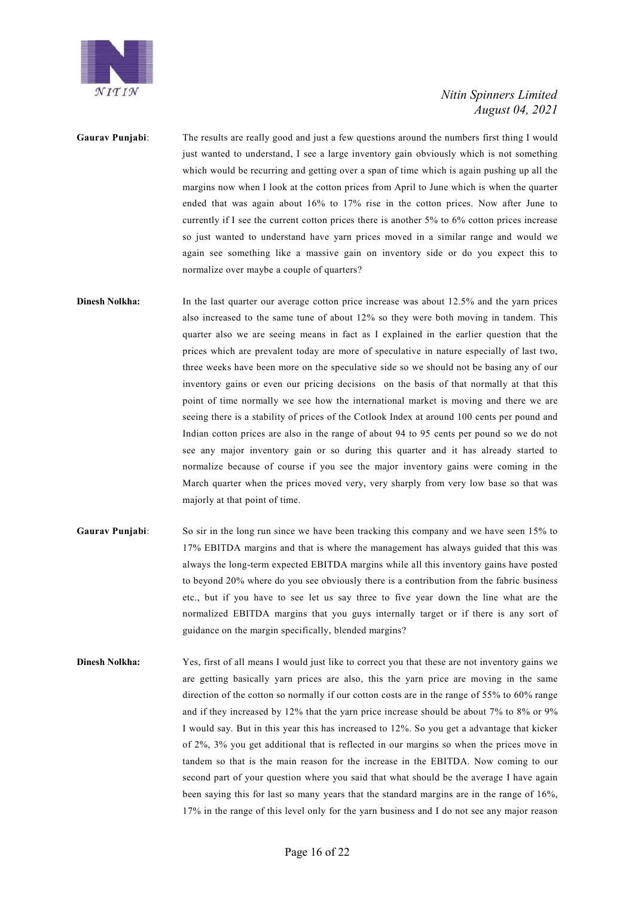

**Gaurav Punjabi**: The results are really good and just a few questions around the numbers first thing I would just wanted to understand, I see a large inventory gain obviously which is not something which would be recurring and getting over a span of time which is again pushing up all the margins now when I look at the cotton prices from April to June which is when the quarter ended that was again about 16% to 17% rise in the cotton prices. Now after June to currently if I see the current cotton prices there is another 5% to 6% cotton prices increase so just wanted to understand have yarn prices moved in a similar range and would we again see something like a massive gain on inventory side or do you expect this to normalize over maybe a couple of quarters?

**Dinesh Nolkha:** In the last quarter our average cotton price increase was about 12.5% and the yarn prices also increased to the same tune of about 12% so they were both moving in tandem. This quarter also we are seeing means in fact as I explained in the earlier question that the prices which are prevalent today are more of speculative in nature especially of last two, three weeks have been more on the speculative side so we should not be basing any of our inventory gains or even our pricing decisions on the basis of that normally at that this point of time normally we see how the international market is moving and there we are seeing there is a stability of prices of the Cotlook Index at around 100 cents per pound and Indian cotton prices are also in the range of about 94 to 95 cents per pound so we do not see any major inventory gain or so during this quarter and it has already started to normalize because of course if you see the major inventory gains were coming in the March quarter when the prices moved very, very sharply from very low base so that was majorly at that point of time.

- **Gaurav Punjabi**: So sir in the long run since we have been tracking this company and we have seen 15% to 17% EBITDA margins and that is where the management has always guided that this was always the long-term expected EBITDA margins while all this inventory gains have posted to beyond 20% where do you see obviously there is a contribution from the fabric business etc., but if you have to see let us say three to five year down the line what are the normalized EBITDA margins that you guys internally target or if there is any sort of guidance on the margin specifically, blended margins?
- **Dinesh Nolkha:** Yes, first of all means I would just like to correct you that these are not inventory gains we are getting basically yarn prices are also, this the yarn price are moving in the same direction of the cotton so normally if our cotton costs are in the range of 55% to 60% range and if they increased by 12% that the yarn price increase should be about 7% to 8% or 9% I would say. But in this year this has increased to 12%. So you get a advantage that kicker of 2%, 3% you get additional that is reflected in our margins so when the prices move in tandem so that is the main reason for the increase in the EBITDA. Now coming to our second part of your question where you said that what should be the average I have again been saying this for last so many years that the standard margins are in the range of 16%, 17% in the range of this level only for the yarn business and I do not see any major reason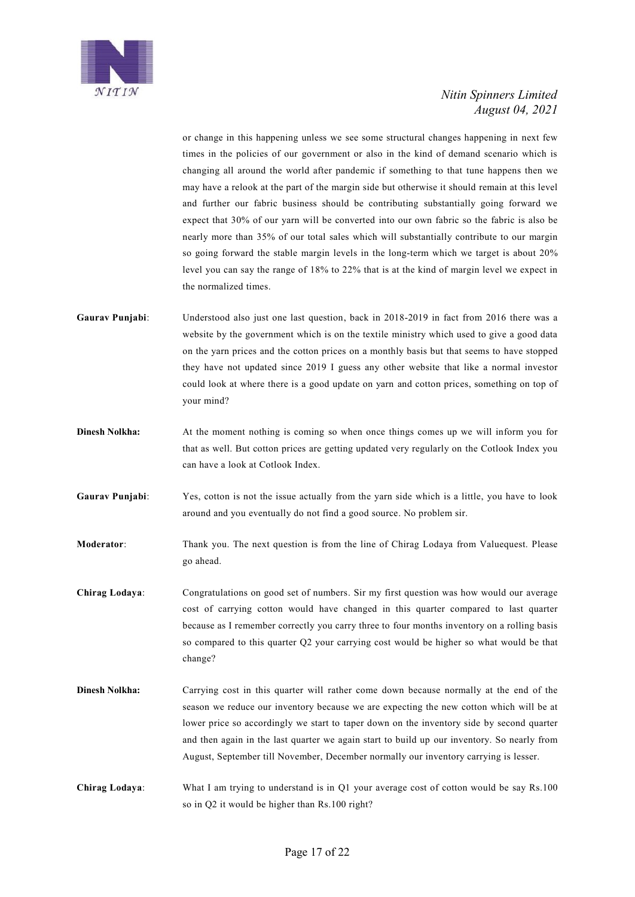

or change in this happening unless we see some structural changes happening in next few times in the policies of our government or also in the kind of demand scenario which is changing all around the world after pandemic if something to that tune happens then we may have a relook at the part of the margin side but otherwise it should remain at this level and further our fabric business should be contributing substantially going forward we expect that 30% of our yarn will be converted into our own fabric so the fabric is also be nearly more than 35% of our total sales which will substantially contribute to our margin so going forward the stable margin levels in the long-term which we target is about 20% level you can say the range of 18% to 22% that is at the kind of margin level we expect in the normalized times.

- **Gaurav Punjabi**: Understood also just one last question, back in 2018-2019 in fact from 2016 there was a website by the government which is on the textile ministry which used to give a good data on the yarn prices and the cotton prices on a monthly basis but that seems to have stopped they have not updated since 2019 I guess any other website that like a normal investor could look at where there is a good update on yarn and cotton prices, something on top of your mind?
- **Dinesh Nolkha:** At the moment nothing is coming so when once things comes up we will inform you for that as well. But cotton prices are getting updated very regularly on the Cotlook Index you can have a look at Cotlook Index.
- **Gaurav Punjabi**: Yes, cotton is not the issue actually from the yarn side which is a little, you have to look around and you eventually do not find a good source. No problem sir.
- **Moderator**: Thank you. The next question is from the line of Chirag Lodaya from Valuequest. Please go ahead.
- **Chirag Lodaya**: Congratulations on good set of numbers. Sir my first question was how would our average cost of carrying cotton would have changed in this quarter compared to last quarter because as I remember correctly you carry three to four months inventory on a rolling basis so compared to this quarter Q2 your carrying cost would be higher so what would be that change?
- **Dinesh Nolkha:** Carrying cost in this quarter will rather come down because normally at the end of the season we reduce our inventory because we are expecting the new cotton which will be at lower price so accordingly we start to taper down on the inventory side by second quarter and then again in the last quarter we again start to build up our inventory. So nearly from August, September till November, December normally our inventory carrying is lesser.
- **Chirag Lodaya**: What I am trying to understand is in Q1 your average cost of cotton would be say Rs.100 so in Q2 it would be higher than Rs.100 right?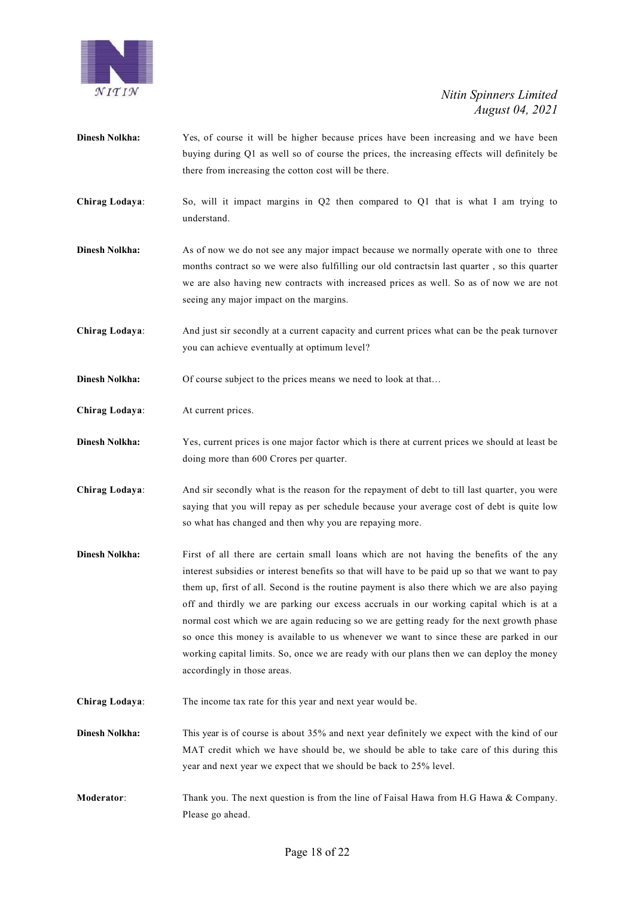

- **Dinesh Nolkha:** Yes, of course it will be higher because prices have been increasing and we have been buying during Q1 as well so of course the prices, the increasing effects will definitely be there from increasing the cotton cost will be there.
- **Chirag Lodaya**: So, will it impact margins in Q2 then compared to Q1 that is what I am trying to understand.
- **Dinesh Nolkha:** As of now we do not see any major impact because we normally operate with one to three months contract so we were also fulfilling our old contractsin last quarter , so this quarter we are also having new contracts with increased prices as well. So as of now we are not seeing any major impact on the margins.
- **Chirag Lodaya**: And just sir secondly at a current capacity and current prices what can be the peak turnover you can achieve eventually at optimum level?
- **Dinesh Nolkha:** Of course subject to the prices means we need to look at that...
- **Chirag Lodaya**: At current prices.
- **Dinesh Nolkha:** Yes, current prices is one major factor which is there at current prices we should at least be doing more than 600 Crores per quarter.
- **Chirag Lodaya**: And sir secondly what is the reason for the repayment of debt to till last quarter, you were saying that you will repay as per schedule because your average cost of debt is quite low so what has changed and then why you are repaying more.
- **Dinesh Nolkha:** First of all there are certain small loans which are not having the benefits of the any interest subsidies or interest benefits so that will have to be paid up so that we want to pay them up, first of all. Second is the routine payment is also there which we are also paying off and thirdly we are parking our excess accruals in our working capital which is at a normal cost which we are again reducing so we are getting ready for the next growth phase so once this money is available to us whenever we want to since these are parked in our working capital limits. So, once we are ready with our plans then we can deploy the money accordingly in those areas.
- **Chirag Lodaya**: The income tax rate for this year and next year would be.
- **Dinesh Nolkha:** This year is of course is about 35% and next year definitely we expect with the kind of our MAT credit which we have should be, we should be able to take care of this during this year and next year we expect that we should be back to 25% level.
- **Moderator:** Thank you. The next question is from the line of Faisal Hawa from H.G Hawa & Company. Please go ahead.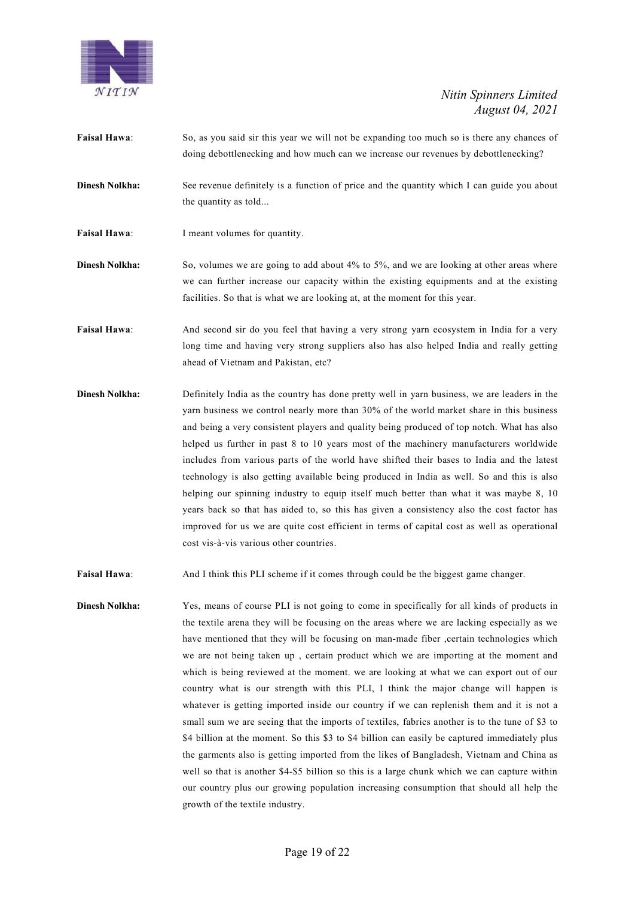

- **Faisal Hawa**: So, as you said sir this year we will not be expanding too much so is there any chances of doing debottlenecking and how much can we increase our revenues by debottlenecking?
- **Dinesh Nolkha:** See revenue definitely is a function of price and the quantity which I can guide you about the quantity as told...
- **Faisal Hawa:** I meant volumes for quantity.
- **Dinesh Nolkha:** So, volumes we are going to add about 4% to 5%, and we are looking at other areas where we can further increase our capacity within the existing equipments and at the existing facilities. So that is what we are looking at, at the moment for this year.
- **Faisal Hawa**: And second sir do you feel that having a very strong yarn ecosystem in India for a very long time and having very strong suppliers also has also helped India and really getting ahead of Vietnam and Pakistan, etc?
- **Dinesh Nolkha:** Definitely India as the country has done pretty well in yarn business, we are leaders in the yarn business we control nearly more than 30% of the world market share in this business and being a very consistent players and quality being produced of top notch. What has also helped us further in past 8 to 10 years most of the machinery manufacturers worldwide includes from various parts of the world have shifted their bases to India and the latest technology is also getting available being produced in India as well. So and this is also helping our spinning industry to equip itself much better than what it was maybe 8, 10 years back so that has aided to, so this has given a consistency also the cost factor has improved for us we are quite cost efficient in terms of capital cost as well as operational cost vis-à-vis various other countries.
- **Faisal Hawa**: And I think this PLI scheme if it comes through could be the biggest game changer.
- **Dinesh Nolkha:** Yes, means of course PLI is not going to come in specifically for all kinds of products in the textile arena they will be focusing on the areas where we are lacking especially as we have mentioned that they will be focusing on man-made fiber ,certain technologies which we are not being taken up , certain product which we are importing at the moment and which is being reviewed at the moment. we are looking at what we can export out of our country what is our strength with this PLI, I think the major change will happen is whatever is getting imported inside our country if we can replenish them and it is not a small sum we are seeing that the imports of textiles, fabrics another is to the tune of \$3 to \$4 billion at the moment. So this \$3 to \$4 billion can easily be captured immediately plus the garments also is getting imported from the likes of Bangladesh, Vietnam and China as well so that is another \$4-\$5 billion so this is a large chunk which we can capture within our country plus our growing population increasing consumption that should all help the growth of the textile industry.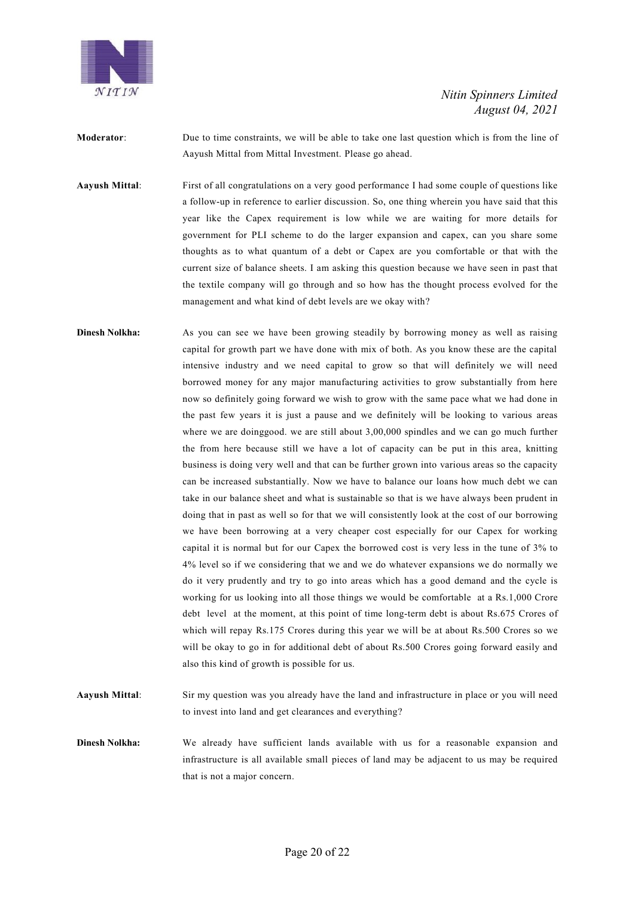

**Moderator**: Due to time constraints, we will be able to take one last question which is from the line of Aayush Mittal from Mittal Investment. Please go ahead.

**Aayush Mittal**: First of all congratulations on a very good performance I had some couple of questions like a follow-up in reference to earlier discussion. So, one thing wherein you have said that this year like the Capex requirement is low while we are waiting for more details for government for PLI scheme to do the larger expansion and capex, can you share some thoughts as to what quantum of a debt or Capex are you comfortable or that with the current size of balance sheets. I am asking this question because we have seen in past that the textile company will go through and so how has the thought process evolved for the management and what kind of debt levels are we okay with?

**Dinesh Nolkha:** As you can see we have been growing steadily by borrowing money as well as raising capital for growth part we have done with mix of both. As you know these are the capital intensive industry and we need capital to grow so that will definitely we will need borrowed money for any major manufacturing activities to grow substantially from here now so definitely going forward we wish to grow with the same pace what we had done in the past few years it is just a pause and we definitely will be looking to various areas where we are doing good. we are still about 3,00,000 spindles and we can go much further the from here because still we have a lot of capacity can be put in this area, knitting business is doing very well and that can be further grown into various areas so the capacity can be increased substantially. Now we have to balance our loans how much debt we can take in our balance sheet and what is sustainable so that is we have always been prudent in doing that in past as well so for that we will consistently look at the cost of our borrowing we have been borrowing at a very cheaper cost especially for our Capex for working capital it is normal but for our Capex the borrowed cost is very less in the tune of 3% to 4% level so if we considering that we and we do whatever expansions we do normally we do it very prudently and try to go into areas which has a good demand and the cycle is working for us looking into all those things we would be comfortable at a Rs.1,000 Crore debt level at the moment, at this point of time long-term debt is about Rs.675 Crores of which will repay Rs.175 Crores during this year we will be at about Rs.500 Crores so we will be okay to go in for additional debt of about Rs.500 Crores going forward easily and also this kind of growth is possible for us.

**Aayush Mittal**: Sir my question was you already have the land and infrastructure in place or you will need to invest into land and get clearances and everything?

**Dinesh Nolkha:** We already have sufficient lands available with us for a reasonable expansion and infrastructure is all available small pieces of land may be adjacent to us may be required that is not a major concern.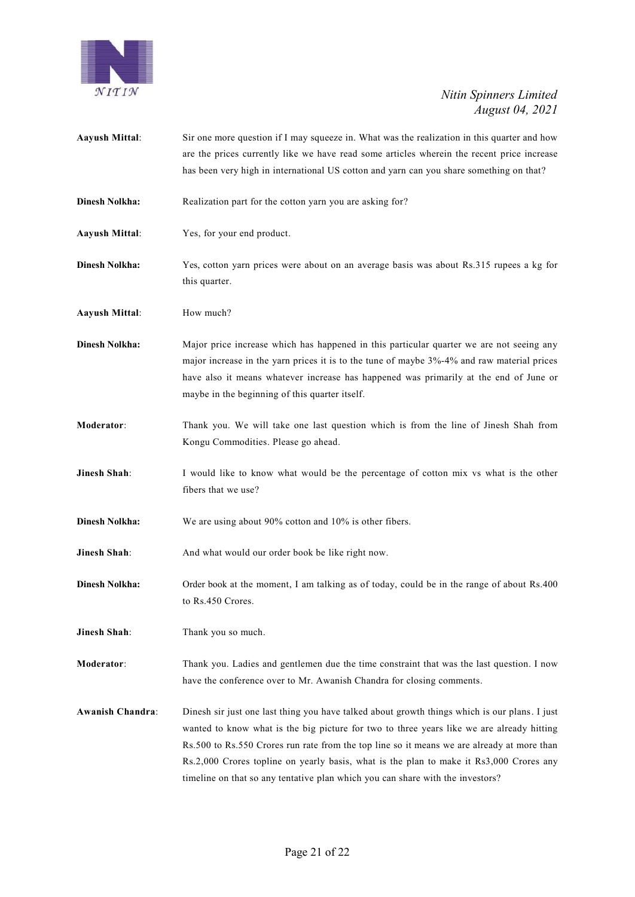

**Aayush Mittal:** Sir one more question if I may squeeze in. What was the realization in this quarter and how are the prices currently like we have read some articles wherein the recent price increase has been very high in international US cotton and yarn can you share something on that? **Dinesh Nolkha:** Realization part for the cotton yarn you are asking for? **Aayush Mittal**: Yes, for your end product. **Dinesh Nolkha:** Yes, cotton yarn prices were about on an average basis was about Rs.315 rupees a kg for this quarter. **Aayush Mittal**: How much? **Dinesh Nolkha:** Major price increase which has happened in this particular quarter we are not seeing any major increase in the yarn prices it is to the tune of maybe 3%-4% and raw material prices have also it means whatever increase has happened was primarily at the end of June or maybe in the beginning of this quarter itself. **Moderator**: Thank you. We will take one last question which is from the line of Jinesh Shah from Kongu Commodities. Please go ahead. **Jinesh Shah**: I would like to know what would be the percentage of cotton mix vs what is the other fibers that we use? **Dinesh Nolkha:** We are using about 90% cotton and 10% is other fibers. **Jinesh Shah**: And what would our order book be like right now. **Dinesh Nolkha:** Order book at the moment, I am talking as of today, could be in the range of about Rs.400 to Rs.450 Crores. **Jinesh Shah**: Thank you so much. **Moderator**: Thank you. Ladies and gentlemen due the time constraint that was the last question. I now have the conference over to Mr. Awanish Chandra for closing comments. **Awanish Chandra**: Dinesh sir just one last thing you have talked about growth things which is our plans. I just wanted to know what is the big picture for two to three years like we are already hitting Rs.500 to Rs.550 Crores run rate from the top line so it means we are already at more than Rs.2,000 Crores topline on yearly basis, what is the plan to make it Rs3,000 Crores any timeline on that so any tentative plan which you can share with the investors?